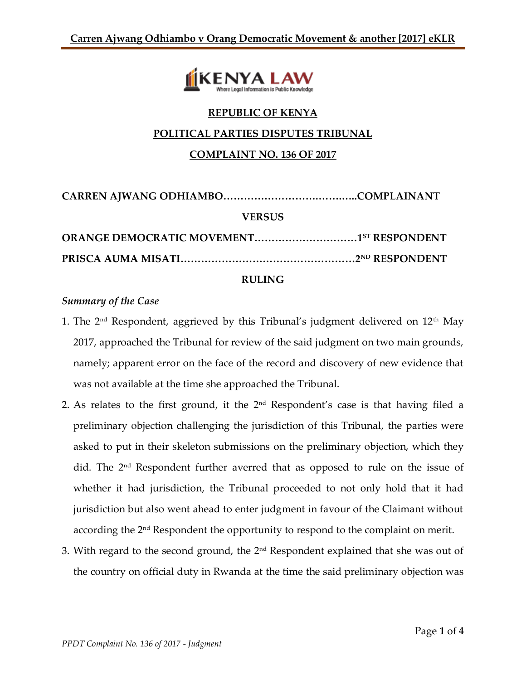

# **REPUBLIC OF KENYA POLITICAL PARTIES DISPUTES TRIBUNAL**

# **COMPLAINT NO. 136 OF 2017**

| <b>VERSUS</b> |  |
|---------------|--|
|               |  |
|               |  |

#### **RULING**

### *Summary of the Case*

- 1. The  $2<sup>nd</sup>$  Respondent, aggrieved by this Tribunal's judgment delivered on  $12<sup>th</sup>$  May 2017, approached the Tribunal for review of the said judgment on two main grounds, namely; apparent error on the face of the record and discovery of new evidence that was not available at the time she approached the Tribunal.
- 2. As relates to the first ground, it the  $2<sup>nd</sup>$  Respondent's case is that having filed a preliminary objection challenging the jurisdiction of this Tribunal, the parties were asked to put in their skeleton submissions on the preliminary objection, which they did. The 2<sup>nd</sup> Respondent further averred that as opposed to rule on the issue of whether it had jurisdiction, the Tribunal proceeded to not only hold that it had jurisdiction but also went ahead to enter judgment in favour of the Claimant without according the 2nd Respondent the opportunity to respond to the complaint on merit.
- 3. With regard to the second ground, the 2nd Respondent explained that she was out of the country on official duty in Rwanda at the time the said preliminary objection was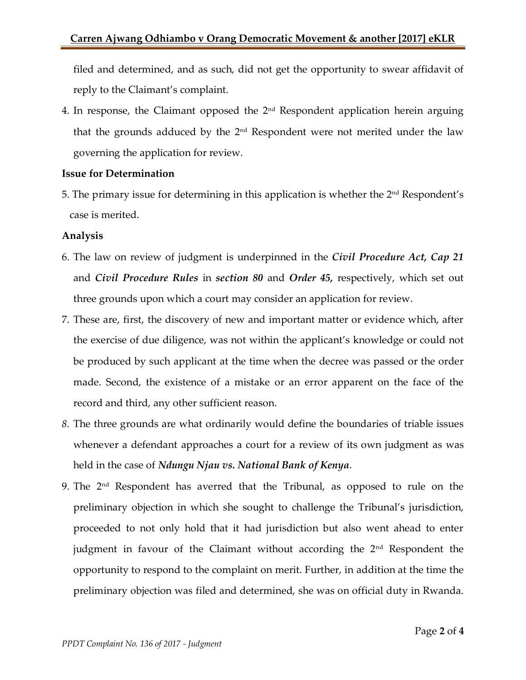filed and determined, and as such, did not get the opportunity to swear affidavit of reply to the Claimant's complaint.

4. In response, the Claimant opposed the 2nd Respondent application herein arguing that the grounds adduced by the  $2<sup>nd</sup>$  Respondent were not merited under the law governing the application for review.

#### **Issue for Determination**

5. The primary issue for determining in this application is whether the  $2<sup>nd</sup>$  Respondent's case is merited.

#### **Analysis**

- 6. The law on review of judgment is underpinned in the *Civil Procedure Act, Cap 21*  and *Civil Procedure Rules* in *section 80* and *Order 45,* respectively, which set out three grounds upon which a court may consider an application for review.
- 7. These are, first, the discovery of new and important matter or evidence which, after the exercise of due diligence, was not within the applicant's knowledge or could not be produced by such applicant at the time when the decree was passed or the order made. Second, the existence of a mistake or an error apparent on the face of the record and third, any other sufficient reason.
- *8.* The three grounds are what ordinarily would define the boundaries of triable issues whenever a defendant approaches a court for a review of its own judgment as was held in the case of *Ndungu Njau vs. National Bank of Kenya*.
- 9. The  $2<sup>nd</sup>$  Respondent has averred that the Tribunal, as opposed to rule on the preliminary objection in which she sought to challenge the Tribunal's jurisdiction, proceeded to not only hold that it had jurisdiction but also went ahead to enter judgment in favour of the Claimant without according the 2<sup>nd</sup> Respondent the opportunity to respond to the complaint on merit. Further, in addition at the time the preliminary objection was filed and determined, she was on official duty in Rwanda.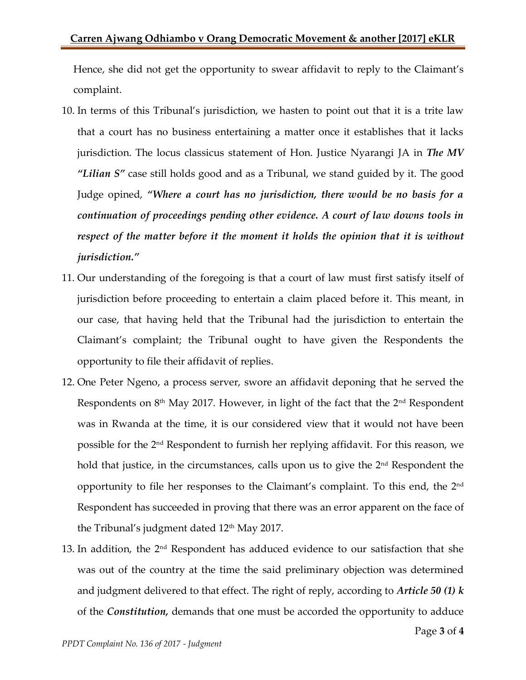Hence, she did not get the opportunity to swear affidavit to reply to the Claimant's complaint.

- 10. In terms of this Tribunal's jurisdiction, we hasten to point out that it is a trite law that a court has no business entertaining a matter once it establishes that it lacks jurisdiction. The locus classicus statement of Hon. Justice Nyarangi JA in *The MV "Lilian S"* case still holds good and as a Tribunal, we stand guided by it. The good Judge opined, *"Where a court has no jurisdiction, there would be no basis for a continuation of proceedings pending other evidence. A court of law downs tools in respect of the matter before it the moment it holds the opinion that it is without jurisdiction."*
- 11. Our understanding of the foregoing is that a court of law must first satisfy itself of jurisdiction before proceeding to entertain a claim placed before it. This meant, in our case, that having held that the Tribunal had the jurisdiction to entertain the Claimant's complaint; the Tribunal ought to have given the Respondents the opportunity to file their affidavit of replies.
- 12. One Peter Ngeno, a process server, swore an affidavit deponing that he served the Respondents on 8<sup>th</sup> May 2017. However, in light of the fact that the 2<sup>nd</sup> Respondent was in Rwanda at the time, it is our considered view that it would not have been possible for the 2<sup>nd</sup> Respondent to furnish her replying affidavit. For this reason, we hold that justice, in the circumstances, calls upon us to give the  $2<sup>nd</sup>$  Respondent the opportunity to file her responses to the Claimant's complaint. To this end, the  $2<sup>nd</sup>$ Respondent has succeeded in proving that there was an error apparent on the face of the Tribunal's judgment dated  $12<sup>th</sup>$  May 2017.
- 13. In addition, the 2nd Respondent has adduced evidence to our satisfaction that she was out of the country at the time the said preliminary objection was determined and judgment delivered to that effect. The right of reply, according to *Article 50 (1) k* of the *Constitution,* demands that one must be accorded the opportunity to adduce